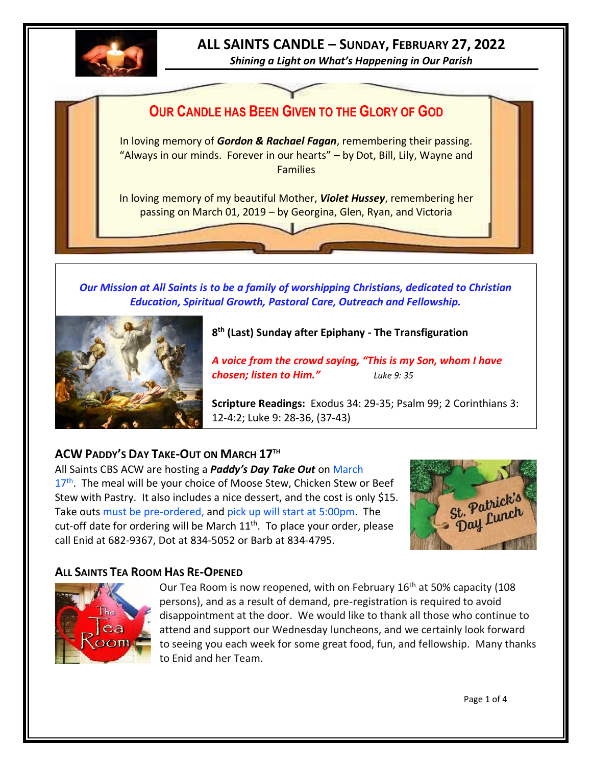

# **ALL SAINTS CANDLE – SUNDAY, FEBRUARY 27, 2022**

*Shining a Light on What's Happening in Our Parish*



*Our Mission at All Saints is to be a family of worshipping Christians, dedicated to Christian Education, Spiritual Growth, Pastoral Care, Outreach and Fellowship.*



## **8 th (Last) Sunday after Epiphany - The Transfiguration**

*A voice from the crowd saying, "This is my Son, whom I have chosen; listen to Him." Luke 9: 35*

**Scripture Readings:** Exodus 34: 29-35; Psalm 99; 2 Corinthians 3: 12-4:2; Luke 9: 28-36, (37-43)

## **ACW PADDY'S DAY TAKE-OUT ON MARCH 17TH**

All Saints CBS ACW are hosting a *Paddy's Day Take Out* on March 17<sup>th</sup>. The meal will be your choice of Moose Stew, Chicken Stew or Beef Stew with Pastry. It also includes a nice dessert, and the cost is only \$15. Take outs must be pre-ordered, and pick up will start at 5:00pm. The cut-off date for ordering will be March  $11<sup>th</sup>$ . To place your order, please call Enid at 682-9367, Dot at 834-5052 or Barb at 834-4795.



## **ALL SAINTS TEA ROOM HAS RE-OPENED**



Our Tea Room is now reopened, with on February  $16<sup>th</sup>$  at 50% capacity (108) persons), and as a result of demand, pre-registration is required to avoid disappointment at the door. We would like to thank all those who continue to attend and support our Wednesday luncheons, and we certainly look forward to seeing you each week for some great food, fun, and fellowship. Many thanks to Enid and her Team.

Page 1 of 4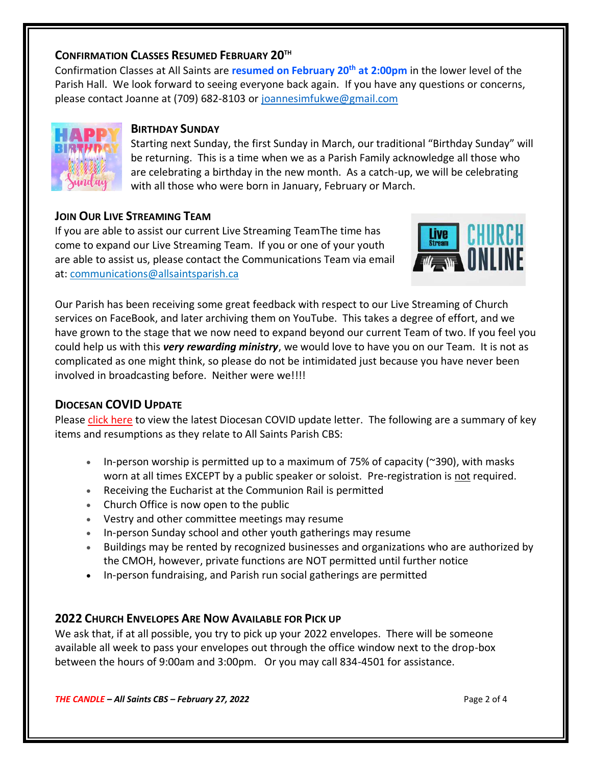#### **CONFIRMATION CLASSES RESUMED FEBRUARY 20TH**

Confirmation Classes at All Saints are **resumed on February 20th at 2:00pm** in the lower level of the Parish Hall. We look forward to seeing everyone back again. If you have any questions or concerns, please contact Joanne at (709) 682-8103 or [joannesimfukwe@gmail.com](mailto:joannesimfukwe@gmail.com)



#### **BIRTHDAY SUNDAY**

Starting next Sunday, the first Sunday in March, our traditional "Birthday Sunday" will be returning. This is a time when we as a Parish Family acknowledge all those who are celebrating a birthday in the new month. As a catch-up, we will be celebrating with all those who were born in January, February or March.

#### **JOIN OUR LIVE STREAMING TEAM**

If you are able to assist our current Live Streaming TeamThe time has come to expand our Live Streaming Team. If you or one of your youth are able to assist us, please contact the Communications Team via email at: [communications@allsaintsparish.ca](mailto:communications@allsaintsparish.ca?subject=Live%20Streaming%20Team)



Our Parish has been receiving some great feedback with respect to our Live Streaming of Church services on FaceBook, and later archiving them on YouTube. This takes a degree of effort, and we have grown to the stage that we now need to expand beyond our current Team of two. If you feel you could help us with this *very rewarding ministry*, we would love to have you on our Team. It is not as complicated as one might think, so please do not be intimidated just because you have never been involved in broadcasting before. Neither were we!!!!

## **DIOCESAN COVID UPDATE**

Please [click here](http://allsaintsparish.ca/document_library/Diocese%20Docs/220218%20Guidelines%2021%20February%202022.pdf) to view the latest Diocesan COVID update letter. The following are a summary of key items and resumptions as they relate to All Saints Parish CBS:

- In-person worship is permitted up to a maximum of 75% of capacity ( $\approx$ 390), with masks worn at all times EXCEPT by a public speaker or soloist. Pre-registration is not required.
- Receiving the Eucharist at the Communion Rail is permitted
- Church Office is now open to the public
- Vestry and other committee meetings may resume
- In-person Sunday school and other youth gatherings may resume
- Buildings may be rented by recognized businesses and organizations who are authorized by the CMOH, however, private functions are NOT permitted until further notice
- In-person fundraising, and Parish run social gatherings are permitted

## **2022 CHURCH ENVELOPES ARE NOW AVAILABLE FOR PICK UP**

We ask that, if at all possible, you try to pick up your 2022 envelopes. There will be someone available all week to pass your envelopes out through the office window next to the drop-box between the hours of 9:00am and 3:00pm. Or you may call 834-4501 for assistance.

*THE CANDLE – All Saints CBS – February 27, 2022* Page 2 of 4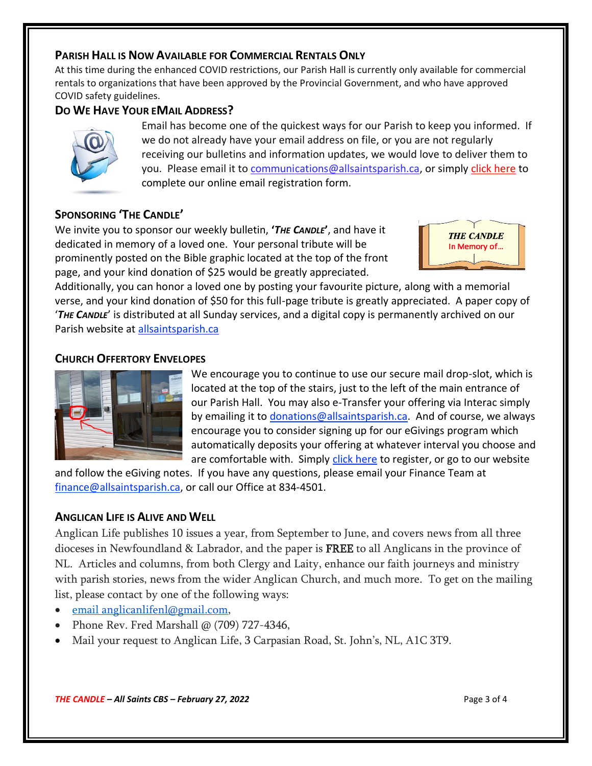#### **PARISH HALL IS NOW AVAILABLE FOR COMMERCIAL RENTALS ONLY**

At this time during the enhanced COVID restrictions, our Parish Hall is currently only available for commercial rentals to organizations that have been approved by the Provincial Government, and who have approved COVID safety guidelines.

## **DO WE HAVE YOUR EMAIL ADDRESS?**



Email has become one of the quickest ways for our Parish to keep you informed. If we do not already have your email address on file, or you are not regularly receiving our bulletins and information updates, we would love to deliver them to you. Please email it to [communications@allsaintsparish.ca,](mailto:communications@allsaintsparish.ca?subject=eMail%20Address%20Update) or simply [click here](http://allsaintsparish.ca/email_updates) to complete our online email registration form.

## **SPONSORING 'THE CANDLE'**

We invite you to sponsor our weekly bulletin, **'***THE CANDLE***'**, and have it dedicated in memory of a loved one. Your personal tribute will be prominently posted on the Bible graphic located at the top of the front page, and your kind donation of \$25 would be greatly appreciated.



Additionally, you can honor a loved one by posting your favourite picture, along with a memorial verse, and your kind donation of \$50 for this full-page tribute is greatly appreciated. A paper copy of '*THE CANDLE*' is distributed at all Sunday services, and a digital copy is permanently archived on our Parish website at [allsaintsparish.ca](http://allsaintsparish.ca/thecandle.html)

#### **CHURCH OFFERTORY ENVELOPES**



We encourage you to continue to use our secure mail drop-slot, which is located at the top of the stairs, just to the left of the main entrance of our Parish Hall. You may also e-Transfer your offering via Interac simply by emailing it to [donations@allsaintsparish.ca.](mailto:donations@allsaintsparish.ca) And of course, we always encourage you to consider signing up for our eGivings program which automatically deposits your offering at whatever interval you choose and are comfortable with. Simply [click here](http://allsaintsparish.ca/egiving-online-information-form) to register, or go to our website

and follow the eGiving notes. If you have [any](https://wfsites-to.websitecreatorprotool.com/870a5dd5.com/Admin/%7BSK_NODEID__22939341__SK%7D) questions, please email your Finance Team at [finance@allsaintsparish.ca,](mailto:finance@allsaintsparish.ca) or call our Office at 834-4501.

#### **ANGLICAN LIFE IS ALIVE AND WELL**

Anglican Life publishes 10 issues a year, from September to June, and covers news from all three dioceses in Newfoundland & Labrador, and the paper is **FREE** to all Anglicans in the province of NL. Articles and columns, from both Clergy and Laity, enhance our faith journeys and ministry with parish stories, news from the wider Anglican Church, and much more. To get on the mailing list, please contact by one of the following ways:

- email [anglicanlifenl@gmail.com,](mailto:anglicanlifenl@gmail.com)
- Phone Rev. Fred Marshall @ (709) 727-4346,
- Mail your request to Anglican Life, 3 Carpasian Road, St. John's, NL, A1C 3T9.

*THE CANDLE – All Saints CBS – February 27, 2022* Page 3 of 4